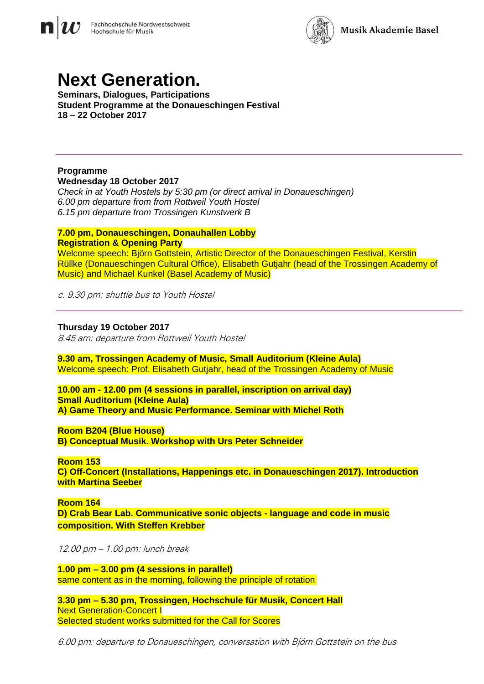



# **Next Generation.**

**Seminars, Dialogues, Participations Student Programme at the Donaueschingen Festival 18 – 22 October 2017**

#### **Programme Wednesday 18 October 2017**

*Check in at Youth Hostels by 5:30 pm (or direct arrival in Donaueschingen) 6.00 pm departure from from Rottweil Youth Hostel 6.15 pm departure from Trossingen Kunstwerk B*

#### **7.00 pm, Donaueschingen, Donauhallen Lobby Registration & Opening Party**

Welcome speech: Björn Gottstein, Artistic Director of the Donaueschingen Festival, Kerstin Rüllke (Donaueschingen Cultural Office), Elisabeth Gutjahr (head of the Trossingen Academy of Music) and Michael Kunkel (Basel Academy of Music)

c. 9.30 pm: shuttle bus to Youth Hostel

#### **Thursday 19 October 2017**

8.45 am: departure from Rottweil Youth Hostel

**9.30 am, Trossingen Academy of Music, Small Auditorium (Kleine Aula)** Welcome speech: Prof. Elisabeth Gutjahr, head of the Trossingen Academy of Music

**10.00 am - 12.00 pm (4 sessions in parallel, inscription on arrival day) Small Auditorium (Kleine Aula) A) Game Theory and Music Performance. Seminar with Michel Roth**

**Room B204 (Blue House) B) Conceptual Musik. Workshop with Urs Peter Schneider**

**Room 153 C) Off-Concert (Installations, Happenings etc. in Donaueschingen 2017). Introduction with Martina Seeber**

**Room 164 D) Crab Bear Lab. Communicative sonic objects - language and code in music composition. With Steffen Krebber** 

12.00 pm – 1.00 pm: lunch break

**1.00 pm – 3.00 pm (4 sessions in parallel)** same content as in the morning, following the principle of rotation

**3.30 pm – 5.30 pm, Trossingen, Hochschule für Musik, Concert Hall Next Generation-Concert I** Selected student works submitted for the Call for Scores

6.00 pm: departure to Donaueschingen, conversation with Björn Gottstein on the bus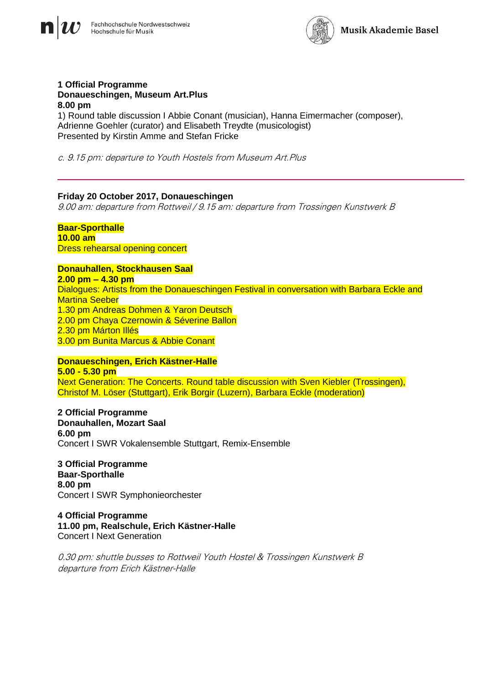



#### **1 Official Programme Donaueschingen, Museum Art.Plus 8.00 pm**

1) Round table discussion I Abbie Conant (musician), Hanna Eimermacher (composer), Adrienne Goehler (curator) and Elisabeth Treydte (musicologist) Presented by Kirstin Amme and Stefan Fricke

c. 9.15 pm: departure to Youth Hostels from Museum Art.Plus

### **Friday 20 October 2017, Donaueschingen**

9.00 am: departure from Rottweil / 9.15 am: departure from Trossingen Kunstwerk B

#### **Baar-Sporthalle 10.00 am** Dress rehearsal opening concert

# **Donauhallen, Stockhausen Saal**

**2.00 pm – 4.30 pm** Dialogues: Artists from the Donaueschingen Festival in conversation with Barbara Eckle and Martina Seeber 1.30 pm Andreas Dohmen & Yaron Deutsch 2.00 pm Chaya Czernowin & Séverine Ballon 2.30 pm Márton Illés 3.00 pm Bunita Marcus & Abbie Conant

# **Donaueschingen, Erich Kästner-Halle 5.00 - 5.30 pm**

Next Generation: The Concerts. Round table discussion with Sven Kiebler (Trossingen), Christof M. Löser (Stuttgart), Erik Borgir (Luzern), Barbara Eckle (moderation)

**2 Official Programme Donauhallen, Mozart Saal 6.00 pm** Concert I SWR Vokalensemble Stuttgart, Remix-Ensemble

**3 Official Programme Baar-Sporthalle 8.00 pm** Concert I SWR Symphonieorchester

**4 Official Programme 11.00 pm, Realschule, Erich Kästner-Halle** Concert I Next Generation

0.30 pm: shuttle busses to Rottweil Youth Hostel & Trossingen Kunstwerk B departure from Erich Kästner-Halle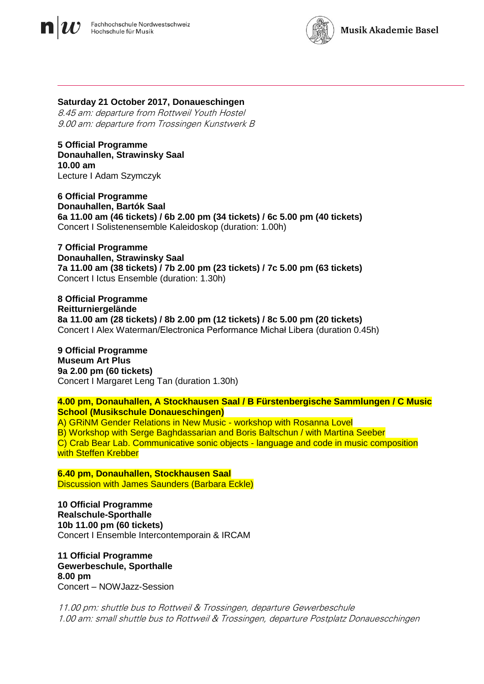



#### **Saturday 21 October 2017, Donaueschingen**

8.45 am: departure from Rottweil Youth Hostel 9.00 am: departure from Trossingen Kunstwerk B

**5 Official Programme Donauhallen, Strawinsky Saal 10.00 am** Lecture I Adam Szymczyk

**6 Official Programme Donauhallen, Bartók Saal 6a 11.00 am (46 tickets) / 6b 2.00 pm (34 tickets) / 6c 5.00 pm (40 tickets)** Concert I Solistenensemble Kaleidoskop (duration: 1.00h)

**7 Official Programme Donauhallen, Strawinsky Saal 7a 11.00 am (38 tickets) / 7b 2.00 pm (23 tickets) / 7c 5.00 pm (63 tickets)**  Concert I Ictus Ensemble (duration: 1.30h)

**8 Official Programme Reitturniergelände 8a 11.00 am (28 tickets) / 8b 2.00 pm (12 tickets) / 8c 5.00 pm (20 tickets)** Concert I Alex Waterman/Electronica Performance Michał Libera (duration 0.45h)

**9 Official Programme Museum Art Plus 9a 2.00 pm (60 tickets)**  Concert I Margaret Leng Tan (duration 1.30h)

**4.00 pm, Donauhallen, A Stockhausen Saal / B Fürstenbergische Sammlungen / C Music School (Musikschule Donaueschingen)**

A) GRiNM Gender Relations in New Music - workshop with Rosanna Lovel B) Workshop with Serge Baghdassarian and Boris Baltschun / with Martina Seeber C) Crab Bear Lab. Communicative sonic objects - language and code in music composition with Steffen Krebber

**6.40 pm, Donauhallen, Stockhausen Saal** Discussion with James Saunders (Barbara Eckle)

**10 Official Programme Realschule-Sporthalle 10b 11.00 pm (60 tickets)** Concert I Ensemble Intercontemporain & IRCAM

**11 Official Programme Gewerbeschule, Sporthalle 8.00 pm** Concert – NOWJazz-Session

11.00 pm: shuttle bus to Rottweil & Trossingen, departure Gewerbeschule 1.00 am: small shuttle bus to Rottweil & Trossingen, departure Postplatz Donauescchingen